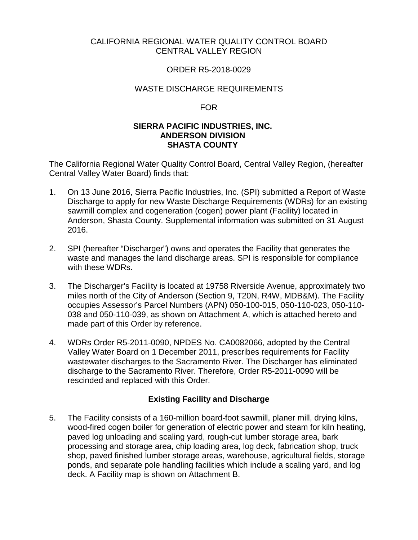## CALIFORNIA REGIONAL WATER QUALITY CONTROL BOARD CENTRAL VALLEY REGION

## ORDER R5-2018-0029

### WASTE DISCHARGE REQUIREMENTS

#### FOR

### **SIERRA PACIFIC INDUSTRIES, INC. ANDERSON DIVISION SHASTA COUNTY**

The California Regional Water Quality Control Board, Central Valley Region, (hereafter Central Valley Water Board) finds that:

- 1. On 13 June 2016, Sierra Pacific Industries, Inc. (SPI) submitted a Report of Waste Discharge to apply for new Waste Discharge Requirements (WDRs) for an existing sawmill complex and cogeneration (cogen) power plant (Facility) located in Anderson, Shasta County. Supplemental information was submitted on 31 August 2016.
- 2. SPI (hereafter "Discharger") owns and operates the Facility that generates the waste and manages the land discharge areas. SPI is responsible for compliance with these WDRs.
- 3. The Discharger's Facility is located at 19758 Riverside Avenue, approximately two miles north of the City of Anderson (Section 9, T20N, R4W, MDB&M). The Facility occupies Assessor's Parcel Numbers (APN) 050-100-015, 050-110-023, 050-110- 038 and 050-110-039, as shown on Attachment A, which is attached hereto and made part of this Order by reference.
- 4. WDRs Order R5-2011-0090, NPDES No. CA0082066, adopted by the Central Valley Water Board on 1 December 2011, prescribes requirements for Facility wastewater discharges to the Sacramento River. The Discharger has eliminated discharge to the Sacramento River. Therefore, Order R5-2011-0090 will be rescinded and replaced with this Order.

## **Existing Facility and Discharge**

5. The Facility consists of a 160-million board-foot sawmill, planer mill, drying kilns, wood-fired cogen boiler for generation of electric power and steam for kiln heating, paved log unloading and scaling yard, rough-cut lumber storage area, bark processing and storage area, chip loading area, log deck, fabrication shop, truck shop, paved finished lumber storage areas, warehouse, agricultural fields, storage ponds, and separate pole handling facilities which include a scaling yard, and log deck. A Facility map is shown on Attachment B.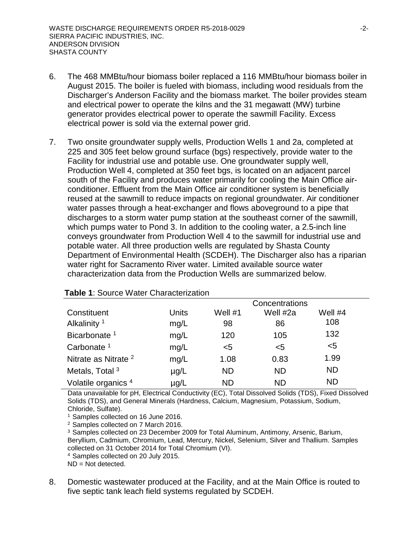- 6. The 468 MMBtu/hour biomass boiler replaced a 116 MMBtu/hour biomass boiler in August 2015. The boiler is fueled with biomass, including wood residuals from the Discharger's Anderson Facility and the biomass market. The boiler provides steam and electrical power to operate the kilns and the 31 megawatt (MW) turbine generator provides electrical power to operate the sawmill Facility. Excess electrical power is sold via the external power grid.
- 7. Two onsite groundwater supply wells, Production Wells 1 and 2a, completed at 225 and 305 feet below ground surface (bgs) respectively, provide water to the Facility for industrial use and potable use. One groundwater supply well, Production Well 4, completed at 350 feet bgs, is located on an adjacent parcel south of the Facility and produces water primarily for cooling the Main Office airconditioner. Effluent from the Main Office air conditioner system is beneficially reused at the sawmill to reduce impacts on regional groundwater. Air conditioner water passes through a heat-exchanger and flows aboveground to a pipe that discharges to a storm water pump station at the southeast corner of the sawmill, which pumps water to Pond 3. In addition to the cooling water, a 2.5-inch line conveys groundwater from Production Well 4 to the sawmill for industrial use and potable water. All three production wells are regulated by Shasta County Department of Environmental Health (SCDEH). The Discharger also has a riparian water right for Sacramento River water. Limited available source water characterization data from the Production Wells are summarized below.

|                                 |              |           | Concentrations |           |  |
|---------------------------------|--------------|-----------|----------------|-----------|--|
| Constituent                     | <b>Units</b> | Well #1   | Well #2a       | Well $#4$ |  |
| Alkalinity <sup>1</sup>         | mg/L         | 98        | 86             | 108       |  |
| Bicarbonate <sup>1</sup>        | mg/L         | 120       | 105            | 132       |  |
| Carbonate $1$                   | mg/L         | $5$       | $5$            | $5$       |  |
| Nitrate as Nitrate <sup>2</sup> | mg/L         | 1.08      | 0.83           | 1.99      |  |
| Metals, Total <sup>3</sup>      | $\mu$ g/L    | <b>ND</b> | <b>ND</b>      | <b>ND</b> |  |
| Volatile organics <sup>4</sup>  | µg/L         | <b>ND</b> | <b>ND</b>      | <b>ND</b> |  |

## **Table 1**: Source Water Characterization

Data unavailable for pH, Electrical Conductivity (EC), Total Dissolved Solids (TDS), Fixed Dissolved Solids (TDS), and General Minerals (Hardness, Calcium, Magnesium, Potassium, Sodium, Chloride, Sulfate).

1 Samples collected on 16 June 2016.

<sup>2</sup> Samples collected on 7 March 2016.

<sup>3</sup> Samples collected on 23 December 2009 for Total Aluminum, Antimony, Arsenic, Barium, Beryllium, Cadmium, Chromium, Lead, Mercury, Nickel, Selenium, Silver and Thallium. Samples collected on 31 October 2014 for Total Chromium (VI).

<sup>4</sup> Samples collected on 20 July 2015.

 $ND = Not detected.$ 

8. Domestic wastewater produced at the Facility, and at the Main Office is routed to five septic tank leach field systems regulated by SCDEH.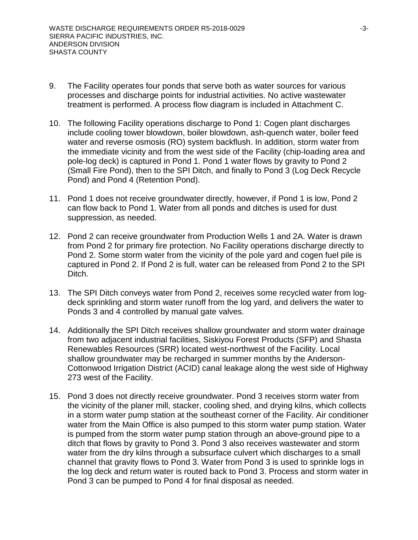- 9. The Facility operates four ponds that serve both as water sources for various processes and discharge points for industrial activities. No active wastewater treatment is performed. A process flow diagram is included in Attachment C.
- 10. The following Facility operations discharge to Pond 1: Cogen plant discharges include cooling tower blowdown, boiler blowdown, ash-quench water, boiler feed water and reverse osmosis (RO) system backflush. In addition, storm water from the immediate vicinity and from the west side of the Facility (chip-loading area and pole-log deck) is captured in Pond 1. Pond 1 water flows by gravity to Pond 2 (Small Fire Pond), then to the SPI Ditch, and finally to Pond 3 (Log Deck Recycle Pond) and Pond 4 (Retention Pond).
- 11. Pond 1 does not receive groundwater directly, however, if Pond 1 is low, Pond 2 can flow back to Pond 1. Water from all ponds and ditches is used for dust suppression, as needed.
- 12. Pond 2 can receive groundwater from Production Wells 1 and 2A. Water is drawn from Pond 2 for primary fire protection. No Facility operations discharge directly to Pond 2. Some storm water from the vicinity of the pole yard and cogen fuel pile is captured in Pond 2. If Pond 2 is full, water can be released from Pond 2 to the SPI Ditch.
- 13. The SPI Ditch conveys water from Pond 2, receives some recycled water from logdeck sprinkling and storm water runoff from the log yard, and delivers the water to Ponds 3 and 4 controlled by manual gate valves.
- 14. Additionally the SPI Ditch receives shallow groundwater and storm water drainage from two adjacent industrial facilities, Siskiyou Forest Products (SFP) and Shasta Renewables Resources (SRR) located west-northwest of the Facility. Local shallow groundwater may be recharged in summer months by the Anderson-Cottonwood Irrigation District (ACID) canal leakage along the west side of Highway 273 west of the Facility.
- 15. Pond 3 does not directly receive groundwater. Pond 3 receives storm water from the vicinity of the planer mill, stacker, cooling shed, and drying kilns, which collects in a storm water pump station at the southeast corner of the Facility. Air conditioner water from the Main Office is also pumped to this storm water pump station. Water is pumped from the storm water pump station through an above-ground pipe to a ditch that flows by gravity to Pond 3. Pond 3 also receives wastewater and storm water from the dry kilns through a subsurface culvert which discharges to a small channel that gravity flows to Pond 3. Water from Pond 3 is used to sprinkle logs in the log deck and return water is routed back to Pond 3. Process and storm water in Pond 3 can be pumped to Pond 4 for final disposal as needed.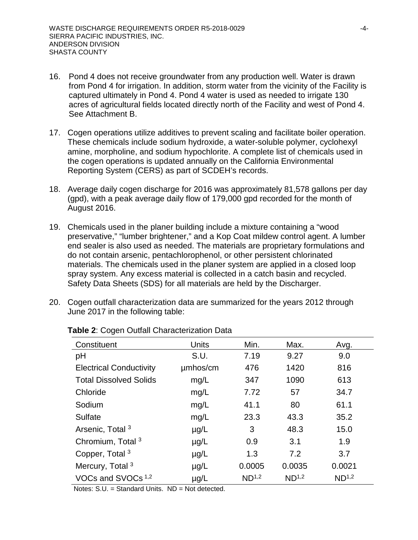- 16. Pond 4 does not receive groundwater from any production well. Water is drawn from Pond 4 for irrigation. In addition, storm water from the vicinity of the Facility is captured ultimately in Pond 4. Pond 4 water is used as needed to irrigate 130 acres of agricultural fields located directly north of the Facility and west of Pond 4. See Attachment B.
- 17. Cogen operations utilize additives to prevent scaling and facilitate boiler operation. These chemicals include sodium hydroxide, a water-soluble polymer, cyclohexyl amine, morpholine, and sodium hypochlorite. A complete list of chemicals used in the cogen operations is updated annually on the California Environmental Reporting System (CERS) as part of SCDEH's records.
- 18. Average daily cogen discharge for 2016 was approximately 81,578 gallons per day (gpd), with a peak average daily flow of 179,000 gpd recorded for the month of August 2016.
- 19. Chemicals used in the planer building include a mixture containing a "wood preservative," "lumber brightener," and a Kop Coat mildew control agent. A lumber end sealer is also used as needed. The materials are proprietary formulations and do not contain arsenic, pentachlorophenol, or other persistent chlorinated materials. The chemicals used in the planer system are applied in a closed loop spray system. Any excess material is collected in a catch basin and recycled. Safety Data Sheets (SDS) for all materials are held by the Discharger.
- 20. Cogen outfall characterization data are summarized for the years 2012 through June 2017 in the following table:

| Constituent                    | <b>Units</b> | Min.              | Max.              | Avg.              |
|--------------------------------|--------------|-------------------|-------------------|-------------------|
| pH                             | S.U.         | 7.19              | 9.27              | 9.0               |
| <b>Electrical Conductivity</b> | umhos/cm     | 476               | 1420              | 816               |
| <b>Total Dissolved Solids</b>  | mg/L         | 347               | 1090              | 613               |
| Chloride                       | mg/L         | 7.72              | 57                | 34.7              |
| Sodium                         | mg/L         | 41.1              | 80                | 61.1              |
| Sulfate                        | mg/L         | 23.3              | 43.3              | 35.2              |
| Arsenic, Total <sup>3</sup>    | $\mu$ g/L    | 3                 | 48.3              | 15.0              |
| Chromium, Total <sup>3</sup>   | $\mu$ g/L    | 0.9               | 3.1               | 1.9               |
| Copper, Total <sup>3</sup>     | $\mu$ g/L    | 1.3               | 7.2               | 3.7               |
| Mercury, Total <sup>3</sup>    | $\mu$ g/L    | 0.0005            | 0.0035            | 0.0021            |
| VOCs and SVOCs <sup>1,2</sup>  | $\mu$ g/L    | ND <sup>1,2</sup> | ND <sup>1,2</sup> | ND <sup>1,2</sup> |

#### **Table 2**: Cogen Outfall Characterization Data

Notes: S.U. = Standard Units. ND = Not detected.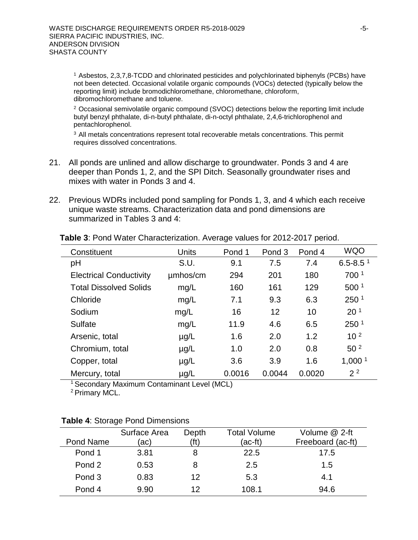1 Asbestos, 2,3,7,8-TCDD and chlorinated pesticides and polychlorinated biphenyls (PCBs) have not been detected. Occasional volatile organic compounds (VOCs) detected (typically below the reporting limit) include bromodichloromethane, chloromethane, chloroform, dibromochloromethane and toluene.

<sup>2</sup> Occasional semivolatile organic compound (SVOC) detections below the reporting limit include butyl benzyl phthalate, di-n-butyl phthalate, di-n-octyl phthalate, 2,4,6-trichlorophenol and pentachlorophenol.

<sup>3</sup> All metals concentrations represent total recoverable metals concentrations. This permit requires dissolved concentrations.

- 21. All ponds are unlined and allow discharge to groundwater. Ponds 3 and 4 are deeper than Ponds 1, 2, and the SPI Ditch. Seasonally groundwater rises and mixes with water in Ponds 3 and 4.
- 22. Previous WDRs included pond sampling for Ponds 1, 3, and 4 which each receive unique waste streams. Characterization data and pond dimensions are summarized in Tables 3 and 4:

| Constituent                    | Units     | Pond 1 | Pond <sub>3</sub> | Pond 4 | <b>WQO</b>               |
|--------------------------------|-----------|--------|-------------------|--------|--------------------------|
| pH                             | S.U.      | 9.1    | 7.5               | 7.4    | $6.5 - 8.5$ <sup>1</sup> |
| <b>Electrical Conductivity</b> | umhos/cm  | 294    | 201               | 180    | 700 1                    |
| <b>Total Dissolved Solids</b>  | mg/L      | 160    | 161               | 129    | 500 <sup>1</sup>         |
| Chloride                       | mg/L      | 7.1    | 9.3               | 6.3    | 250 <sup>1</sup>         |
| Sodium                         | mg/L      | 16     | 12                | 10     | 20 <sup>1</sup>          |
| Sulfate                        | mg/L      | 11.9   | 4.6               | 6.5    | 250 <sup>1</sup>         |
| Arsenic, total                 | $\mu$ g/L | 1.6    | 2.0               | 1.2    | 10 <sup>2</sup>          |
| Chromium, total                | $\mu$ g/L | 1.0    | 2.0               | 0.8    | 50 <sup>2</sup>          |
| Copper, total                  | $\mu$ g/L | 3.6    | 3.9               | 1.6    | 1,000 $1$                |
| Mercury, total                 | $\mu$ g/L | 0.0016 | 0.0044            | 0.0020 | 2 <sup>2</sup>           |

**Table 3**: Pond Water Characterization. Average values for 2012-2017 period.

1 Secondary Maximum Contaminant Level (MCL)

2 Primary MCL.

|           | Surface Area | Depth | Total Volume | Volume @ 2-ft     |
|-----------|--------------|-------|--------------|-------------------|
| Pond Name | (ac)         | (ft)  | (ac-ft)      | Freeboard (ac-ft) |
| Pond 1    | 3.81         |       | 22.5         | 17.5              |
| Pond 2    | 0.53         |       | 2.5          | 1.5               |
| Pond 3    | 0.83         | 12    | 5.3          | 4.1               |
| Pond 4    | 9.90         | 12    | 108.1        | 94.6              |

## **Table 4**: Storage Pond Dimensions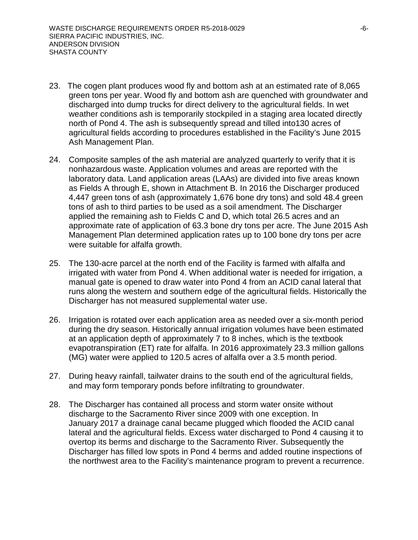- 23. The cogen plant produces wood fly and bottom ash at an estimated rate of 8,065 green tons per year. Wood fly and bottom ash are quenched with groundwater and discharged into dump trucks for direct delivery to the agricultural fields. In wet weather conditions ash is temporarily stockpiled in a staging area located directly north of Pond 4. The ash is subsequently spread and tilled into130 acres of agricultural fields according to procedures established in the Facility's June 2015 Ash Management Plan.
- 24. Composite samples of the ash material are analyzed quarterly to verify that it is nonhazardous waste. Application volumes and areas are reported with the laboratory data. Land application areas (LAAs) are divided into five areas known as Fields A through E, shown in Attachment B. In 2016 the Discharger produced 4,447 green tons of ash (approximately 1,676 bone dry tons) and sold 48.4 green tons of ash to third parties to be used as a soil amendment. The Discharger applied the remaining ash to Fields C and D, which total 26.5 acres and an approximate rate of application of 63.3 bone dry tons per acre. The June 2015 Ash Management Plan determined application rates up to 100 bone dry tons per acre were suitable for alfalfa growth.
- 25. The 130-acre parcel at the north end of the Facility is farmed with alfalfa and irrigated with water from Pond 4. When additional water is needed for irrigation, a manual gate is opened to draw water into Pond 4 from an ACID canal lateral that runs along the western and southern edge of the agricultural fields. Historically the Discharger has not measured supplemental water use.
- 26. Irrigation is rotated over each application area as needed over a six-month period during the dry season. Historically annual irrigation volumes have been estimated at an application depth of approximately 7 to 8 inches, which is the textbook evapotranspiration (ET) rate for alfalfa. In 2016 approximately 23.3 million gallons (MG) water were applied to 120.5 acres of alfalfa over a 3.5 month period.
- 27. During heavy rainfall, tailwater drains to the south end of the agricultural fields, and may form temporary ponds before infiltrating to groundwater.
- 28. The Discharger has contained all process and storm water onsite without discharge to the Sacramento River since 2009 with one exception. In January 2017 a drainage canal became plugged which flooded the ACID canal lateral and the agricultural fields. Excess water discharged to Pond 4 causing it to overtop its berms and discharge to the Sacramento River. Subsequently the Discharger has filled low spots in Pond 4 berms and added routine inspections of the northwest area to the Facility's maintenance program to prevent a recurrence.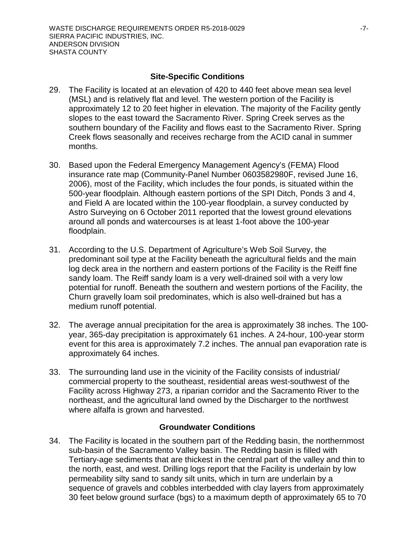#### **Site-Specific Conditions**

- 29. The Facility is located at an elevation of 420 to 440 feet above mean sea level (MSL) and is relatively flat and level. The western portion of the Facility is approximately 12 to 20 feet higher in elevation. The majority of the Facility gently slopes to the east toward the Sacramento River. Spring Creek serves as the southern boundary of the Facility and flows east to the Sacramento River. Spring Creek flows seasonally and receives recharge from the ACID canal in summer months.
- 30. Based upon the Federal Emergency Management Agency's (FEMA) Flood insurance rate map (Community-Panel Number 0603582980F, revised June 16, 2006), most of the Facility, which includes the four ponds, is situated within the 500-year floodplain. Although eastern portions of the SPI Ditch, Ponds 3 and 4, and Field A are located within the 100-year floodplain, a survey conducted by Astro Surveying on 6 October 2011 reported that the lowest ground elevations around all ponds and watercourses is at least 1-foot above the 100-year floodplain.
- 31. According to the U.S. Department of Agriculture's Web Soil Survey, the predominant soil type at the Facility beneath the agricultural fields and the main log deck area in the northern and eastern portions of the Facility is the Reiff fine sandy loam. The Reiff sandy loam is a very well-drained soil with a very low potential for runoff. Beneath the southern and western portions of the Facility, the Churn gravelly loam soil predominates, which is also well-drained but has a medium runoff potential.
- 32. The average annual precipitation for the area is approximately 38 inches. The 100 year, 365-day precipitation is approximately 61 inches. A 24-hour, 100-year storm event for this area is approximately 7.2 inches. The annual pan evaporation rate is approximately 64 inches.
- 33. The surrounding land use in the vicinity of the Facility consists of industrial/ commercial property to the southeast, residential areas west-southwest of the Facility across Highway 273, a riparian corridor and the Sacramento River to the northeast, and the agricultural land owned by the Discharger to the northwest where alfalfa is grown and harvested.

#### **Groundwater Conditions**

34. The Facility is located in the southern part of the Redding basin, the northernmost sub-basin of the Sacramento Valley basin. The Redding basin is filled with Tertiary-age sediments that are thickest in the central part of the valley and thin to the north, east, and west. Drilling logs report that the Facility is underlain by low permeability silty sand to sandy silt units, which in turn are underlain by a sequence of gravels and cobbles interbedded with clay layers from approximately 30 feet below ground surface (bgs) to a maximum depth of approximately 65 to 70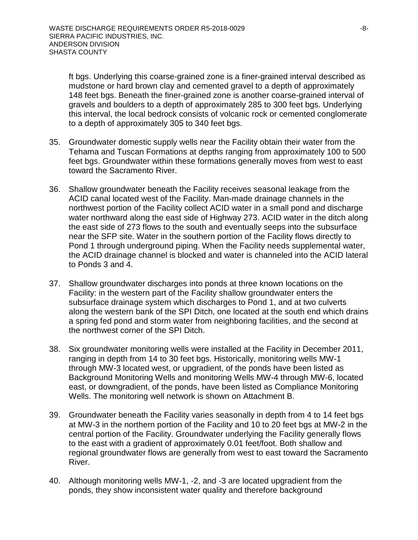ft bgs. Underlying this coarse-grained zone is a finer-grained interval described as mudstone or hard brown clay and cemented gravel to a depth of approximately 148 feet bgs. Beneath the finer-grained zone is another coarse-grained interval of gravels and boulders to a depth of approximately 285 to 300 feet bgs. Underlying this interval, the local bedrock consists of volcanic rock or cemented conglomerate to a depth of approximately 305 to 340 feet bgs.

- 35. Groundwater domestic supply wells near the Facility obtain their water from the Tehama and Tuscan Formations at depths ranging from approximately 100 to 500 feet bgs. Groundwater within these formations generally moves from west to east toward the Sacramento River.
- 36. Shallow groundwater beneath the Facility receives seasonal leakage from the ACID canal located west of the Facility. Man-made drainage channels in the northwest portion of the Facility collect ACID water in a small pond and discharge water northward along the east side of Highway 273. ACID water in the ditch along the east side of 273 flows to the south and eventually seeps into the subsurface near the SFP site. Water in the southern portion of the Facility flows directly to Pond 1 through underground piping. When the Facility needs supplemental water, the ACID drainage channel is blocked and water is channeled into the ACID lateral to Ponds 3 and 4.
- 37. Shallow groundwater discharges into ponds at three known locations on the Facility: in the western part of the Facility shallow groundwater enters the subsurface drainage system which discharges to Pond 1, and at two culverts along the western bank of the SPI Ditch, one located at the south end which drains a spring fed pond and storm water from neighboring facilities, and the second at the northwest corner of the SPI Ditch.
- 38. Six groundwater monitoring wells were installed at the Facility in December 2011, ranging in depth from 14 to 30 feet bgs. Historically, monitoring wells MW-1 through MW-3 located west, or upgradient, of the ponds have been listed as Background Monitoring Wells and monitoring Wells MW-4 through MW-6, located east, or downgradient, of the ponds, have been listed as Compliance Monitoring Wells. The monitoring well network is shown on Attachment B.
- 39. Groundwater beneath the Facility varies seasonally in depth from 4 to 14 feet bgs at MW-3 in the northern portion of the Facility and 10 to 20 feet bgs at MW-2 in the central portion of the Facility. Groundwater underlying the Facility generally flows to the east with a gradient of approximately 0.01 feet/foot. Both shallow and regional groundwater flows are generally from west to east toward the Sacramento River.
- 40. Although monitoring wells MW-1, -2, and -3 are located upgradient from the ponds, they show inconsistent water quality and therefore background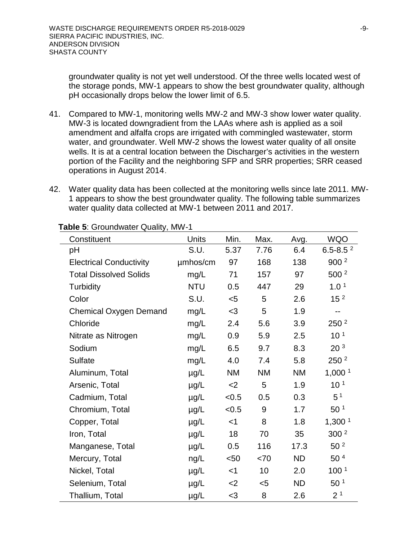groundwater quality is not yet well understood. Of the three wells located west of the storage ponds, MW-1 appears to show the best groundwater quality, although pH occasionally drops below the lower limit of 6.5.

- 41. Compared to MW-1, monitoring wells MW-2 and MW-3 show lower water quality. MW-3 is located downgradient from the LAAs where ash is applied as a soil amendment and alfalfa crops are irrigated with commingled wastewater, storm water, and groundwater. Well MW-2 shows the lowest water quality of all onsite wells. It is at a central location between the Discharger's activities in the western portion of the Facility and the neighboring SFP and SRR properties; SRR ceased operations in August 2014.
- 42. Water quality data has been collected at the monitoring wells since late 2011. MW-1 appears to show the best groundwater quality. The following table summarizes water quality data collected at MW-1 between 2011 and 2017.

| Constituent                    | Units      | Min.      | Max.      | Avg.      | <b>WQO</b>         |
|--------------------------------|------------|-----------|-----------|-----------|--------------------|
| рH                             | S.U.       | 5.37      | 7.76      | 6.4       | $6.5 - 8.52$       |
| <b>Electrical Conductivity</b> | umhos/cm   | 97        | 168       | 138       | 900 <sup>2</sup>   |
| <b>Total Dissolved Solids</b>  | mg/L       | 71        | 157       | 97        | 500 <sup>2</sup>   |
| <b>Turbidity</b>               | <b>NTU</b> | 0.5       | 447       | 29        | 1.0 <sup>1</sup>   |
| Color                          | S.U.       | $<$ 5     | 5         | 2.6       | 15 <sup>2</sup>    |
| <b>Chemical Oxygen Demand</b>  | mg/L       | $<$ 3     | 5         | 1.9       | --                 |
| Chloride                       | mg/L       | 2.4       | 5.6       | 3.9       | 250 <sup>2</sup>   |
| Nitrate as Nitrogen            | mg/L       | 0.9       | 5.9       | 2.5       | 10 <sup>1</sup>    |
| Sodium                         | mg/L       | 6.5       | 9.7       | 8.3       | 20 <sup>3</sup>    |
| Sulfate                        | mg/L       | 4.0       | 7.4       | 5.8       | 250 <sup>2</sup>   |
| Aluminum, Total                | µg/L       | <b>NM</b> | <b>NM</b> | <b>NM</b> | 1,000 <sup>1</sup> |
| Arsenic, Total                 | $\mu$ g/L  | $2$       | 5         | 1.9       | 10 <sup>1</sup>    |
| Cadmium, Total                 | $\mu$ g/L  | < 0.5     | 0.5       | 0.3       | 5 <sup>1</sup>     |
| Chromium, Total                | µg/L       | < 0.5     | 9         | 1.7       | 50 <sup>1</sup>    |
| Copper, Total                  | $\mu$ g/L  | $<$ 1     | 8         | 1.8       | 1,300 <sup>1</sup> |
| Iron, Total                    | $\mu$ g/L  | 18        | 70        | 35        | 300 <sup>2</sup>   |
| Manganese, Total               | $\mu$ g/L  | 0.5       | 116       | 17.3      | 50 <sup>2</sup>    |
| Mercury, Total                 | ng/L       | $50$      | < 70      | <b>ND</b> | 50 <sup>4</sup>    |
| Nickel, Total                  | $\mu$ g/L  | $<$ 1     | 10        | 2.0       | 100 <sup>1</sup>   |
| Selenium, Total                | $\mu$ g/L  | $<$ 2     | $5$       | <b>ND</b> | 50 <sup>1</sup>    |
| Thallium, Total                | $\mu$ g/L  | $<$ 3     | 8         | 2.6       | 2 <sup>1</sup>     |

**Table 5**: Groundwater Quality, MW-1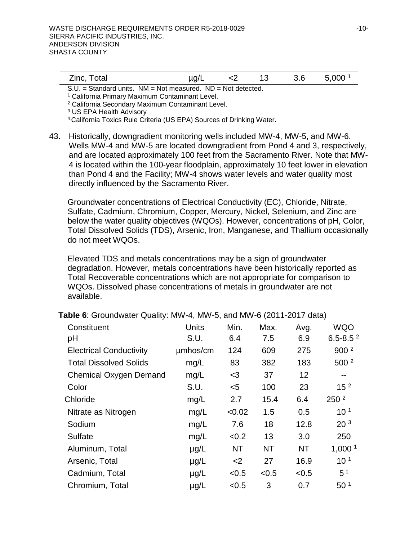| Zinc, Total |  |  | $\mu$ g/L <2 13 3.6 5,000 <sup>1</sup> |
|-------------|--|--|----------------------------------------|
|             |  |  |                                        |

S.U. = Standard units. NM = Not measured. ND = Not detected.

<sup>1</sup> California Primary Maximum Contaminant Level.

<sup>2</sup> California Secondary Maximum Contaminant Level.

<sup>3</sup> US EPA Health Advisory

4 California Toxics Rule Criteria (US EPA) Sources of Drinking Water.

43. Historically, downgradient monitoring wells included MW-4, MW-5, and MW-6. Wells MW-4 and MW-5 are located downgradient from Pond 4 and 3, respectively, and are located approximately 100 feet from the Sacramento River. Note that MW-4 is located within the 100-year floodplain, approximately 10 feet lower in elevation than Pond 4 and the Facility; MW-4 shows water levels and water quality most directly influenced by the Sacramento River.

Groundwater concentrations of Electrical Conductivity (EC), Chloride, Nitrate, Sulfate, Cadmium, Chromium, Copper, Mercury, Nickel, Selenium, and Zinc are below the water quality objectives (WQOs). However, concentrations of pH, Color, Total Dissolved Solids (TDS), Arsenic, Iron, Manganese, and Thallium occasionally do not meet WQOs.

Elevated TDS and metals concentrations may be a sign of groundwater degradation. However, metals concentrations have been historically reported as Total Recoverable concentrations which are not appropriate for comparison to WQOs. Dissolved phase concentrations of metals in groundwater are not available.

| Constituent                    | <b>Units</b> | Min.      | Max.      | Avg.  | <b>WQO</b>         |
|--------------------------------|--------------|-----------|-----------|-------|--------------------|
| pH                             | S.U.         | 6.4       | 7.5       | 6.9   | $6.5 - 8.52$       |
| <b>Electrical Conductivity</b> | umhos/cm     | 124       | 609       | 275   | 900 <sup>2</sup>   |
| <b>Total Dissolved Solids</b>  | mg/L         | 83        | 382       | 183   | 500 <sup>2</sup>   |
| <b>Chemical Oxygen Demand</b>  | mg/L         | $3$       | 37        | 12    | $-$                |
| Color                          | S.U.         | $5$       | 100       | 23    | 15 <sup>2</sup>    |
| Chloride                       | mg/L         | 2.7       | 15.4      | 6.4   | 250 <sup>2</sup>   |
| Nitrate as Nitrogen            | mg/L         | < 0.02    | 1.5       | 0.5   | 10 <sup>1</sup>    |
| Sodium                         | mg/L         | 7.6       | 18        | 12.8  | 20 <sup>3</sup>    |
| <b>Sulfate</b>                 | mg/L         | < 0.2     | 13        | 3.0   | 250                |
| Aluminum, Total                | $\mu$ g/L    | <b>NT</b> | <b>NT</b> | NT    | 1,000 <sup>1</sup> |
| Arsenic, Total                 | $\mu$ g/L    | $<$ 2     | 27        | 16.9  | 10 <sup>1</sup>    |
| Cadmium, Total                 | $\mu$ g/L    | < 0.5     | < 0.5     | < 0.5 | 5 <sup>1</sup>     |
| Chromium, Total                | $\mu$ g/L    | < 0.5     | 3         | 0.7   | 50 <sup>1</sup>    |

#### **Table 6**: Groundwater Quality: MW-4, MW-5, and MW-6 (2011-2017 data)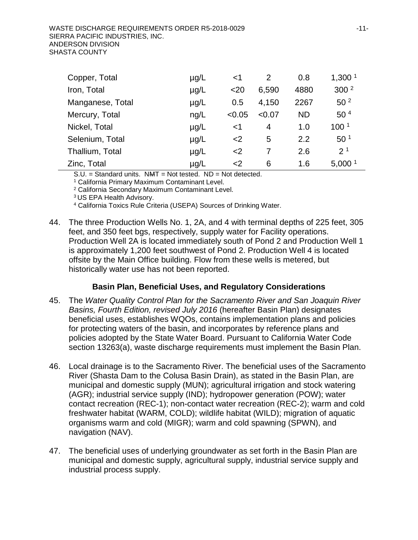| Copper, Total    | $\mu$ g/L | $<$ 1  | 2      | 0.8       | 1,300 <sup>1</sup> |
|------------------|-----------|--------|--------|-----------|--------------------|
| Iron, Total      | $\mu$ g/L | $20$   | 6,590  | 4880      | 300 <sup>2</sup>   |
| Manganese, Total | $\mu$ g/L | 0.5    | 4,150  | 2267      | 50 <sup>2</sup>    |
| Mercury, Total   | ng/L      | < 0.05 | < 0.07 | <b>ND</b> | 50 <sup>4</sup>    |
| Nickel, Total    | $\mu$ g/L | $<$ 1  | 4      | 1.0       | 100 <sup>1</sup>   |
| Selenium, Total  | $\mu$ g/L | $2$    | 5      | 2.2       | 50 <sup>1</sup>    |
| Thallium, Total  | $\mu$ g/L | $<$ 2  |        | 2.6       | 2 <sup>1</sup>     |
| Zinc, Total      | $\mu$ g/L | $2$    | 6      | 1.6       | 5,000 <sup>1</sup> |

S.U. = Standard units. NMT = Not tested. ND = Not detected.

<sup>1</sup> California Primary Maximum Contaminant Level.

<sup>2</sup> California Secondary Maximum Contaminant Level.

3 US EPA Health Advisory.

<sup>4</sup> California Toxics Rule Criteria (USEPA) Sources of Drinking Water.

44. The three Production Wells No. 1, 2A, and 4 with terminal depths of 225 feet, 305 feet, and 350 feet bgs, respectively, supply water for Facility operations. Production Well 2A is located immediately south of Pond 2 and Production Well 1 is approximately 1,200 feet southwest of Pond 2. Production Well 4 is located offsite by the Main Office building. Flow from these wells is metered, but historically water use has not been reported.

## **Basin Plan, Beneficial Uses, and Regulatory Considerations**

- 45. The *Water Quality Control Plan for the Sacramento River and San Joaquin River Basins, Fourth Edition, revised July 2016* (hereafter Basin Plan) designates beneficial uses, establishes WQOs, contains implementation plans and policies for protecting waters of the basin, and incorporates by reference plans and policies adopted by the State Water Board. Pursuant to California Water Code section 13263(a), waste discharge requirements must implement the Basin Plan.
- 46. Local drainage is to the Sacramento River. The beneficial uses of the Sacramento River (Shasta Dam to the Colusa Basin Drain), as stated in the Basin Plan, are municipal and domestic supply (MUN); agricultural irrigation and stock watering (AGR); industrial service supply (IND); hydropower generation (POW); water contact recreation (REC-1); non-contact water recreation (REC-2); warm and cold freshwater habitat (WARM, COLD); wildlife habitat (WILD); migration of aquatic organisms warm and cold (MIGR); warm and cold spawning (SPWN), and navigation (NAV).
- 47. The beneficial uses of underlying groundwater as set forth in the Basin Plan are municipal and domestic supply, agricultural supply, industrial service supply and industrial process supply.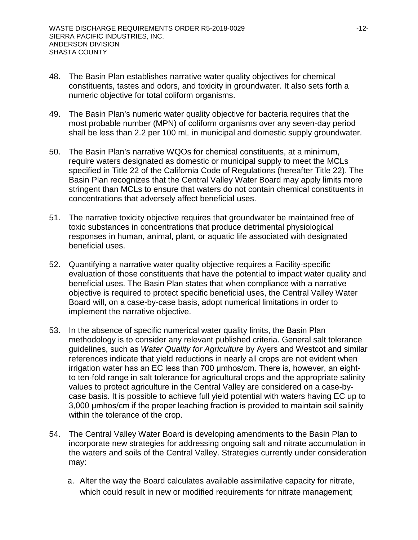- 48. The Basin Plan establishes narrative water quality objectives for chemical constituents, tastes and odors, and toxicity in groundwater. It also sets forth a numeric objective for total coliform organisms.
- 49. The Basin Plan's numeric water quality objective for bacteria requires that the most probable number (MPN) of coliform organisms over any seven-day period shall be less than 2.2 per 100 mL in municipal and domestic supply groundwater.
- 50. The Basin Plan's narrative WQOs for chemical constituents, at a minimum, require waters designated as domestic or municipal supply to meet the MCLs specified in Title 22 of the California Code of Regulations (hereafter Title 22). The Basin Plan recognizes that the Central Valley Water Board may apply limits more stringent than MCLs to ensure that waters do not contain chemical constituents in concentrations that adversely affect beneficial uses.
- 51. The narrative toxicity objective requires that groundwater be maintained free of toxic substances in concentrations that produce detrimental physiological responses in human, animal, plant, or aquatic life associated with designated beneficial uses.
- 52. Quantifying a narrative water quality objective requires a Facility-specific evaluation of those constituents that have the potential to impact water quality and beneficial uses. The Basin Plan states that when compliance with a narrative objective is required to protect specific beneficial uses, the Central Valley Water Board will, on a case-by-case basis, adopt numerical limitations in order to implement the narrative objective.
- 53. In the absence of specific numerical water quality limits, the Basin Plan methodology is to consider any relevant published criteria. General salt tolerance guidelines, such as *Water Quality for Agriculture* by Ayers and Westcot and similar references indicate that yield reductions in nearly all crops are not evident when irrigation water has an EC less than 700 μmhos/cm. There is, however, an eightto ten-fold range in salt tolerance for agricultural crops and the appropriate salinity values to protect agriculture in the Central Valley are considered on a case-bycase basis. It is possible to achieve full yield potential with waters having EC up to 3,000 umhos/cm if the proper leaching fraction is provided to maintain soil salinity within the tolerance of the crop.
- 54. The Central Valley Water Board is developing amendments to the Basin Plan to incorporate new strategies for addressing ongoing salt and nitrate accumulation in the waters and soils of the Central Valley. Strategies currently under consideration may:
	- a. Alter the way the Board calculates available assimilative capacity for nitrate, which could result in new or modified requirements for nitrate management;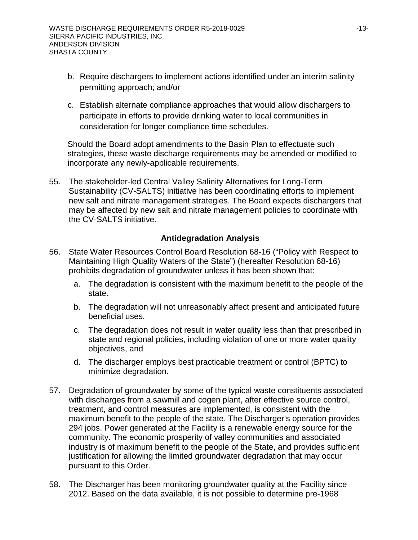- b. Require dischargers to implement actions identified under an interim salinity permitting approach; and/or
- c. Establish alternate compliance approaches that would allow dischargers to participate in efforts to provide drinking water to local communities in consideration for longer compliance time schedules.

Should the Board adopt amendments to the Basin Plan to effectuate such strategies, these waste discharge requirements may be amended or modified to incorporate any newly-applicable requirements.

55. The stakeholder-led Central Valley Salinity Alternatives for Long-Term Sustainability (CV-SALTS) initiative has been coordinating efforts to implement new salt and nitrate management strategies. The Board expects dischargers that may be affected by new salt and nitrate management policies to coordinate with the CV-SALTS initiative.

# **Antidegradation Analysis**

- 56. State Water Resources Control Board Resolution 68-16 ("Policy with Respect to Maintaining High Quality Waters of the State") (hereafter Resolution 68-16) prohibits degradation of groundwater unless it has been shown that:
	- a. The degradation is consistent with the maximum benefit to the people of the state.
	- b. The degradation will not unreasonably affect present and anticipated future beneficial uses.
	- c. The degradation does not result in water quality less than that prescribed in state and regional policies, including violation of one or more water quality objectives, and
	- d. The discharger employs best practicable treatment or control (BPTC) to minimize degradation.
- 57. Degradation of groundwater by some of the typical waste constituents associated with discharges from a sawmill and cogen plant, after effective source control, treatment, and control measures are implemented, is consistent with the maximum benefit to the people of the state. The Discharger's operation provides 294 jobs. Power generated at the Facility is a renewable energy source for the community. The economic prosperity of valley communities and associated industry is of maximum benefit to the people of the State, and provides sufficient justification for allowing the limited groundwater degradation that may occur pursuant to this Order.
- 58. The Discharger has been monitoring groundwater quality at the Facility since 2012. Based on the data available, it is not possible to determine pre-1968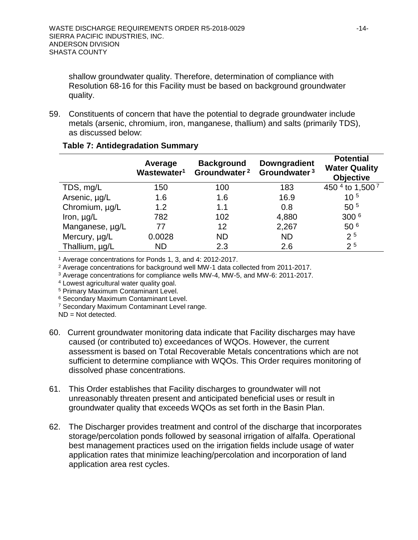shallow groundwater quality. Therefore, determination of compliance with Resolution 68-16 for this Facility must be based on background groundwater quality.

59. Constituents of concern that have the potential to degrade groundwater include metals (arsenic, chromium, iron, manganese, thallium) and salts (primarily TDS), as discussed below:

|                 | Average<br>Wastewater <sup>1</sup> | <b>Background</b><br>Groundwater <sup>2</sup> | <b>Downgradient</b><br>Groundwater <sup>3</sup> | <b>Potential</b><br><b>Water Quality</b><br><b>Objective</b> |
|-----------------|------------------------------------|-----------------------------------------------|-------------------------------------------------|--------------------------------------------------------------|
| TDS, mg/L       | 150                                | 100                                           | 183                                             | 450 4 to 1,500 7                                             |
| Arsenic, µg/L   | 1.6                                | 1.6                                           | 16.9                                            | $10^{5}$                                                     |
| Chromium, µg/L  | 1.2                                | 1.1                                           | 0.8                                             | 50 <sup>5</sup>                                              |
| Iron, $\mu$ g/L | 782                                | 102                                           | 4,880                                           | 300 <sup>6</sup>                                             |
| Manganese, µg/L | 77                                 | 12                                            | 2,267                                           | 50 <sup>6</sup>                                              |
| Mercury, µg/L   | 0.0028                             | <b>ND</b>                                     | <b>ND</b>                                       | 2 <sup>5</sup>                                               |
| Thallium, µg/L  | <b>ND</b>                          | 2.3                                           | 2.6                                             | 2 <sup>5</sup>                                               |

#### **Table 7: Antidegradation Summary**

<sup>1</sup> Average concentrations for Ponds 1, 3, and 4: 2012-2017.

<sup>2</sup> Average concentrations for background well MW-1 data collected from 2011-2017.

<sup>3</sup> Average concentrations for compliance wells MW-4, MW-5, and MW-6: 2011-2017.

<sup>4</sup> Lowest agricultural water quality goal.

<sup>5</sup> Primary Maximum Contaminant Level.

<sup>6</sup> Secondary Maximum Contaminant Level.

<sup>7</sup> Secondary Maximum Contaminant Level range.

ND = Not detected.

- 60. Current groundwater monitoring data indicate that Facility discharges may have caused (or contributed to) exceedances of WQOs. However, the current assessment is based on Total Recoverable Metals concentrations which are not sufficient to determine compliance with WQOs. This Order requires monitoring of dissolved phase concentrations.
- 61. This Order establishes that Facility discharges to groundwater will not unreasonably threaten present and anticipated beneficial uses or result in groundwater quality that exceeds WQOs as set forth in the Basin Plan.
- 62. The Discharger provides treatment and control of the discharge that incorporates storage/percolation ponds followed by seasonal irrigation of alfalfa. Operational best management practices used on the irrigation fields include usage of water application rates that minimize leaching/percolation and incorporation of land application area rest cycles.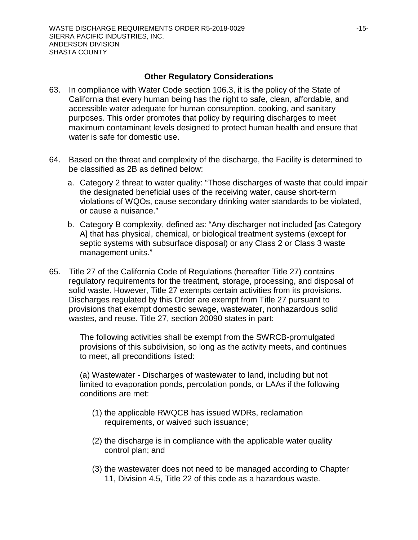### **Other Regulatory Considerations**

- 63. In compliance with Water Code section 106.3, it is the policy of the State of California that every human being has the right to safe, clean, affordable, and accessible water adequate for human consumption, cooking, and sanitary purposes. This order promotes that policy by requiring discharges to meet maximum contaminant levels designed to protect human health and ensure that water is safe for domestic use.
- 64. Based on the threat and complexity of the discharge, the Facility is determined to be classified as 2B as defined below:
	- a. Category 2 threat to water quality: "Those discharges of waste that could impair the designated beneficial uses of the receiving water, cause short-term violations of WQOs, cause secondary drinking water standards to be violated, or cause a nuisance."
	- b. Category B complexity, defined as: "Any discharger not included [as Category A] that has physical, chemical, or biological treatment systems (except for septic systems with subsurface disposal) or any Class 2 or Class 3 waste management units."
- 65. Title 27 of the California Code of Regulations (hereafter Title 27) contains regulatory requirements for the treatment, storage, processing, and disposal of solid waste. However, Title 27 exempts certain activities from its provisions. Discharges regulated by this Order are exempt from Title 27 pursuant to provisions that exempt domestic sewage, wastewater, nonhazardous solid wastes, and reuse. Title 27, section 20090 states in part:

The following activities shall be exempt from the SWRCB-promulgated provisions of this subdivision, so long as the activity meets, and continues to meet, all preconditions listed:

(a) Wastewater - Discharges of wastewater to land, including but not limited to evaporation ponds, percolation ponds, or LAAs if the following conditions are met:

- (1) the applicable RWQCB has issued WDRs, reclamation requirements, or waived such issuance;
- (2) the discharge is in compliance with the applicable water quality control plan; and
- (3) the wastewater does not need to be managed according to Chapter 11, Division 4.5, Title 22 of this code as a hazardous waste.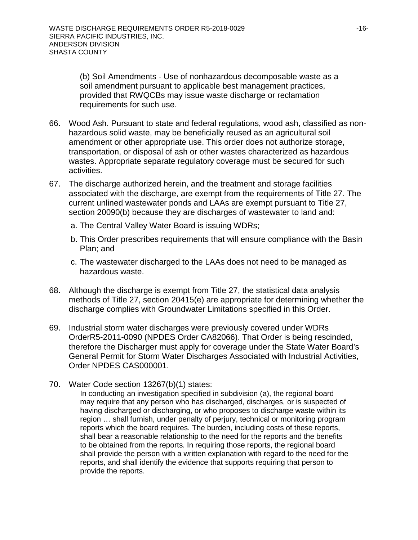(b) Soil Amendments - Use of nonhazardous decomposable waste as a soil amendment pursuant to applicable best management practices, provided that RWQCBs may issue waste discharge or reclamation requirements for such use.

- 66. Wood Ash. Pursuant to state and federal regulations, wood ash, classified as nonhazardous solid waste, may be beneficially reused as an agricultural soil amendment or other appropriate use. This order does not authorize storage, transportation, or disposal of ash or other wastes characterized as hazardous wastes. Appropriate separate regulatory coverage must be secured for such activities.
- 67. The discharge authorized herein, and the treatment and storage facilities associated with the discharge, are exempt from the requirements of Title 27. The current unlined wastewater ponds and LAAs are exempt pursuant to Title 27, section 20090(b) because they are discharges of wastewater to land and:
	- a. The Central Valley Water Board is issuing WDRs;
	- b. This Order prescribes requirements that will ensure compliance with the Basin Plan; and
	- c. The wastewater discharged to the LAAs does not need to be managed as hazardous waste.
- 68. Although the discharge is exempt from Title 27, the statistical data analysis methods of Title 27, section 20415(e) are appropriate for determining whether the discharge complies with Groundwater Limitations specified in this Order.
- 69. Industrial storm water discharges were previously covered under WDRs OrderR5-2011-0090 (NPDES Order CA82066). That Order is being rescinded, therefore the Discharger must apply for coverage under the State Water Board's General Permit for Storm Water Discharges Associated with Industrial Activities, Order NPDES CAS000001.
- 70. Water Code section 13267(b)(1) states:

In conducting an investigation specified in subdivision (a), the regional board may require that any person who has discharged, discharges, or is suspected of having discharged or discharging, or who proposes to discharge waste within its region … shall furnish, under penalty of perjury, technical or monitoring program reports which the board requires. The burden, including costs of these reports, shall bear a reasonable relationship to the need for the reports and the benefits to be obtained from the reports. In requiring those reports, the regional board shall provide the person with a written explanation with regard to the need for the reports, and shall identify the evidence that supports requiring that person to provide the reports.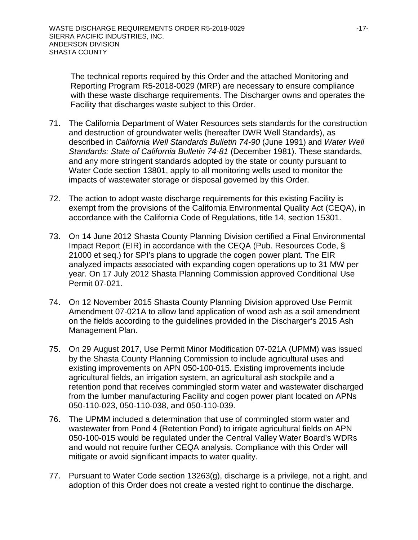The technical reports required by this Order and the attached Monitoring and Reporting Program R5-2018-0029 (MRP) are necessary to ensure compliance with these waste discharge requirements. The Discharger owns and operates the Facility that discharges waste subject to this Order.

- 71. The California Department of Water Resources sets standards for the construction and destruction of groundwater wells (hereafter DWR Well Standards), as described in *California Well Standards Bulletin 74-90* (June 1991) and *Water Well Standards: State of California Bulletin 74-81* (December 1981). These standards, and any more stringent standards adopted by the state or county pursuant to Water Code section 13801, apply to all monitoring wells used to monitor the impacts of wastewater storage or disposal governed by this Order.
- 72. The action to adopt waste discharge requirements for this existing Facility is exempt from the provisions of the California Environmental Quality Act (CEQA), in accordance with the California Code of Regulations, title 14, section 15301.
- 73. On 14 June 2012 Shasta County Planning Division certified a Final Environmental Impact Report (EIR) in accordance with the CEQA (Pub. Resources Code, § 21000 et seq.) for SPI's plans to upgrade the cogen power plant. The EIR analyzed impacts associated with expanding cogen operations up to 31 MW per year. On 17 July 2012 Shasta Planning Commission approved Conditional Use Permit 07-021.
- 74. On 12 November 2015 Shasta County Planning Division approved Use Permit Amendment 07-021A to allow land application of wood ash as a soil amendment on the fields according to the guidelines provided in the Discharger's 2015 Ash Management Plan.
- 75. On 29 August 2017, Use Permit Minor Modification 07-021A (UPMM) was issued by the Shasta County Planning Commission to include agricultural uses and existing improvements on APN 050-100-015. Existing improvements include agricultural fields, an irrigation system, an agricultural ash stockpile and a retention pond that receives commingled storm water and wastewater discharged from the lumber manufacturing Facility and cogen power plant located on APNs 050-110-023, 050-110-038, and 050-110-039.
- 76. The UPMM included a determination that use of commingled storm water and wastewater from Pond 4 (Retention Pond) to irrigate agricultural fields on APN 050-100-015 would be regulated under the Central Valley Water Board's WDRs and would not require further CEQA analysis. Compliance with this Order will mitigate or avoid significant impacts to water quality.
- 77. Pursuant to Water Code section 13263(g), discharge is a privilege, not a right, and adoption of this Order does not create a vested right to continue the discharge.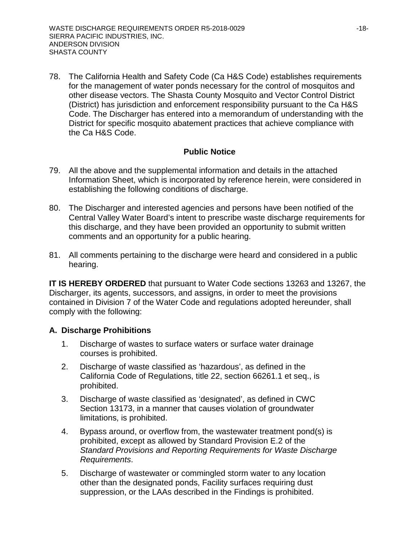78. The California Health and Safety Code (Ca H&S Code) establishes requirements for the management of water ponds necessary for the control of mosquitos and other disease vectors. The Shasta County Mosquito and Vector Control District (District) has jurisdiction and enforcement responsibility pursuant to the Ca H&S Code. The Discharger has entered into a memorandum of understanding with the District for specific mosquito abatement practices that achieve compliance with the Ca H&S Code.

# **Public Notice**

- 79. All the above and the supplemental information and details in the attached Information Sheet, which is incorporated by reference herein, were considered in establishing the following conditions of discharge.
- 80. The Discharger and interested agencies and persons have been notified of the Central Valley Water Board's intent to prescribe waste discharge requirements for this discharge, and they have been provided an opportunity to submit written comments and an opportunity for a public hearing.
- 81. All comments pertaining to the discharge were heard and considered in a public hearing.

**IT IS HEREBY ORDERED** that pursuant to Water Code sections 13263 and 13267, the Discharger, its agents, successors, and assigns, in order to meet the provisions contained in Division 7 of the Water Code and regulations adopted hereunder, shall comply with the following:

## **A. Discharge Prohibitions**

- 1. Discharge of wastes to surface waters or surface water drainage courses is prohibited.
- 2. Discharge of waste classified as 'hazardous', as defined in the California Code of Regulations, title 22, section 66261.1 et seq., is prohibited.
- 3. Discharge of waste classified as 'designated', as defined in CWC Section 13173, in a manner that causes violation of groundwater limitations, is prohibited.
- 4. Bypass around, or overflow from, the wastewater treatment pond(s) is prohibited, except as allowed by Standard Provision E.2 of the *Standard Provisions and Reporting Requirements for Waste Discharge Requirements*.
- 5. Discharge of wastewater or commingled storm water to any location other than the designated ponds, Facility surfaces requiring dust suppression, or the LAAs described in the Findings is prohibited.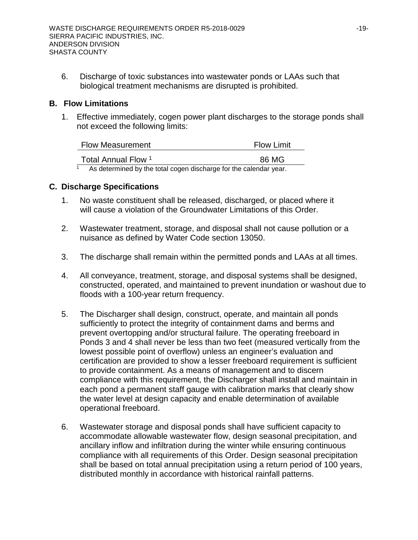6. Discharge of toxic substances into wastewater ponds or LAAs such that biological treatment mechanisms are disrupted is prohibited.

### **B. Flow Limitations**

1. Effective immediately, cogen power plant discharges to the storage ponds shall not exceed the following limits:

| <b>Flow Measurement</b> | <b>Flow Limit</b> |
|-------------------------|-------------------|
| Total Annual Flow 1     | 86 MG             |
|                         |                   |

 $1$  As determined by the total cogen discharge for the calendar year.

## **C. Discharge Specifications**

- 1. No waste constituent shall be released, discharged, or placed where it will cause a violation of the Groundwater Limitations of this Order.
- 2. Wastewater treatment, storage, and disposal shall not cause pollution or a nuisance as defined by Water Code section 13050.
- 3. The discharge shall remain within the permitted ponds and LAAs at all times.
- 4. All conveyance, treatment, storage, and disposal systems shall be designed, constructed, operated, and maintained to prevent inundation or washout due to floods with a 100-year return frequency.
- 5. The Discharger shall design, construct, operate, and maintain all ponds sufficiently to protect the integrity of containment dams and berms and prevent overtopping and/or structural failure. The operating freeboard in Ponds 3 and 4 shall never be less than two feet (measured vertically from the lowest possible point of overflow) unless an engineer's evaluation and certification are provided to show a lesser freeboard requirement is sufficient to provide containment. As a means of management and to discern compliance with this requirement, the Discharger shall install and maintain in each pond a permanent staff gauge with calibration marks that clearly show the water level at design capacity and enable determination of available operational freeboard.
- 6. Wastewater storage and disposal ponds shall have sufficient capacity to accommodate allowable wastewater flow, design seasonal precipitation, and ancillary inflow and infiltration during the winter while ensuring continuous compliance with all requirements of this Order. Design seasonal precipitation shall be based on total annual precipitation using a return period of 100 years, distributed monthly in accordance with historical rainfall patterns.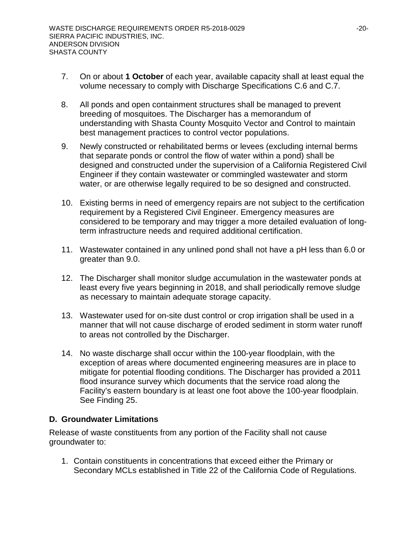- 7. On or about **1 October** of each year, available capacity shall at least equal the volume necessary to comply with Discharge Specifications C.6 and C.7.
- 8. All ponds and open containment structures shall be managed to prevent breeding of mosquitoes. The Discharger has a memorandum of understanding with Shasta County Mosquito Vector and Control to maintain best management practices to control vector populations.
- 9. Newly constructed or rehabilitated berms or levees (excluding internal berms that separate ponds or control the flow of water within a pond) shall be designed and constructed under the supervision of a California Registered Civil Engineer if they contain wastewater or commingled wastewater and storm water, or are otherwise legally required to be so designed and constructed.
- 10. Existing berms in need of emergency repairs are not subject to the certification requirement by a Registered Civil Engineer. Emergency measures are considered to be temporary and may trigger a more detailed evaluation of longterm infrastructure needs and required additional certification.
- 11. Wastewater contained in any unlined pond shall not have a pH less than 6.0 or greater than 9.0.
- 12. The Discharger shall monitor sludge accumulation in the wastewater ponds at least every five years beginning in 2018, and shall periodically remove sludge as necessary to maintain adequate storage capacity.
- 13. Wastewater used for on-site dust control or crop irrigation shall be used in a manner that will not cause discharge of eroded sediment in storm water runoff to areas not controlled by the Discharger.
- 14. No waste discharge shall occur within the 100-year floodplain, with the exception of areas where documented engineering measures are in place to mitigate for potential flooding conditions. The Discharger has provided a 2011 flood insurance survey which documents that the service road along the Facility's eastern boundary is at least one foot above the 100-year floodplain. See Finding 25.

## **D. Groundwater Limitations**

Release of waste constituents from any portion of the Facility shall not cause groundwater to:

1. Contain constituents in concentrations that exceed either the Primary or Secondary MCLs established in Title 22 of the California Code of Regulations.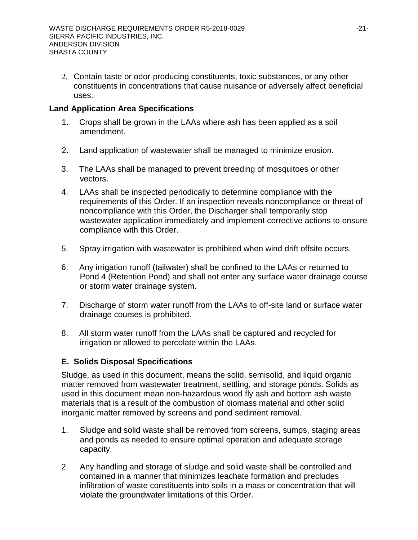2. Contain taste or odor-producing constituents, toxic substances, or any other constituents in concentrations that cause nuisance or adversely affect beneficial uses.

# **Land Application Area Specifications**

- 1. Crops shall be grown in the LAAs where ash has been applied as a soil amendment.
- 2. Land application of wastewater shall be managed to minimize erosion.
- 3. The LAAs shall be managed to prevent breeding of mosquitoes or other vectors.
- 4. LAAs shall be inspected periodically to determine compliance with the requirements of this Order. If an inspection reveals noncompliance or threat of noncompliance with this Order, the Discharger shall temporarily stop wastewater application immediately and implement corrective actions to ensure compliance with this Order.
- 5. Spray irrigation with wastewater is prohibited when wind drift offsite occurs.
- 6. Any irrigation runoff (tailwater) shall be confined to the LAAs or returned to Pond 4 (Retention Pond) and shall not enter any surface water drainage course or storm water drainage system.
- 7. Discharge of storm water runoff from the LAAs to off-site land or surface water drainage courses is prohibited.
- 8. All storm water runoff from the LAAs shall be captured and recycled for irrigation or allowed to percolate within the LAAs.

# **E. Solids Disposal Specifications**

Sludge, as used in this document, means the solid, semisolid, and liquid organic matter removed from wastewater treatment, settling, and storage ponds. Solids as used in this document mean non-hazardous wood fly ash and bottom ash waste materials that is a result of the combustion of biomass material and other solid inorganic matter removed by screens and pond sediment removal.

- 1. Sludge and solid waste shall be removed from screens, sumps, staging areas and ponds as needed to ensure optimal operation and adequate storage capacity.
- 2. Any handling and storage of sludge and solid waste shall be controlled and contained in a manner that minimizes leachate formation and precludes infiltration of waste constituents into soils in a mass or concentration that will violate the groundwater limitations of this Order.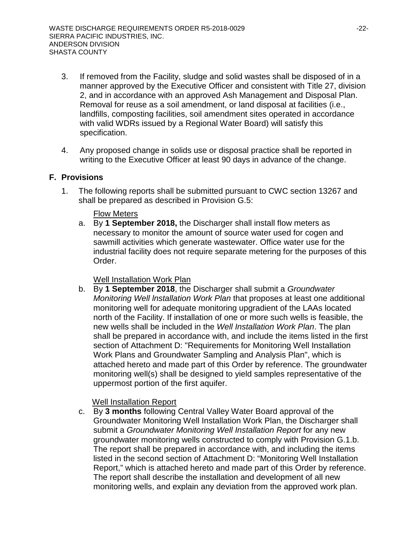- 3. If removed from the Facility, sludge and solid wastes shall be disposed of in a manner approved by the Executive Officer and consistent with Title 27, division 2, and in accordance with an approved Ash Management and Disposal Plan. Removal for reuse as a soil amendment, or land disposal at facilities (i.e., landfills, composting facilities, soil amendment sites operated in accordance with valid WDRs issued by a Regional Water Board) will satisfy this specification.
- 4. Any proposed change in solids use or disposal practice shall be reported in writing to the Executive Officer at least 90 days in advance of the change.

# **F. Provisions**

1. The following reports shall be submitted pursuant to CWC section 13267 and shall be prepared as described in Provision G.5:

### Flow Meters

a. By **1 September 2018,** the Discharger shall install flow meters as necessary to monitor the amount of source water used for cogen and sawmill activities which generate wastewater. Office water use for the industrial facility does not require separate metering for the purposes of this Order.

## Well Installation Work Plan

b. By **1 September 2018**, the Discharger shall submit a *Groundwater Monitoring Well lnstallation Work Plan* that proposes at least one additional monitoring well for adequate monitoring upgradient of the LAAs located north of the Facility. If installation of one or more such wells is feasible, the new wells shall be included in the *Well Installation Work Plan*. The plan shall be prepared in accordance with, and include the items listed in the first section of Attachment D: "Requirements for Monitoring Well Installation Work Plans and Groundwater Sampling and Analysis Plan", which is attached hereto and made part of this Order by reference. The groundwater monitoring well(s) shall be designed to yield samples representative of the uppermost portion of the first aquifer.

## Well Installation Report

c. By **3 months** following Central Valley Water Board approval of the Groundwater Monitoring Well Installation Work Plan, the Discharger shall submit a *Groundwater Monitoring Well Installation Report* for any new groundwater monitoring wells constructed to comply with Provision G.1.b. The report shall be prepared in accordance with, and including the items listed in the second section of Attachment D: "Monitoring Well Installation Report," which is attached hereto and made part of this Order by reference. The report shall describe the installation and development of all new monitoring wells, and explain any deviation from the approved work plan.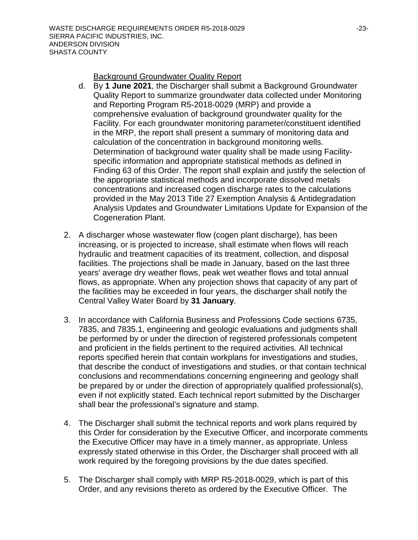Background Groundwater Quality Report

- d. By **1 June 2021**, the Discharger shall submit a Background Groundwater Quality Report to summarize groundwater data collected under Monitoring and Reporting Program R5-2018-0029 (MRP) and provide a comprehensive evaluation of background groundwater quality for the Facility. For each groundwater monitoring parameter/constituent identified in the MRP, the report shall present a summary of monitoring data and calculation of the concentration in background monitoring wells. Determination of background water quality shall be made using Facilityspecific information and appropriate statistical methods as defined in Finding 63 of this Order. The report shall explain and justify the selection of the appropriate statistical methods and incorporate dissolved metals concentrations and increased cogen discharge rates to the calculations provided in the May 2013 Title 27 Exemption Analysis & Antidegradation Analysis Updates and Groundwater Limitations Update for Expansion of the Cogeneration Plant.
- 2. A discharger whose wastewater flow (cogen plant discharge), has been increasing, or is projected to increase, shall estimate when flows will reach hydraulic and treatment capacities of its treatment, collection, and disposal facilities. The projections shall be made in January, based on the last three years' average dry weather flows, peak wet weather flows and total annual flows, as appropriate. When any projection shows that capacity of any part of the facilities may be exceeded in four years, the discharger shall notify the Central Valley Water Board by **31 January**.
- 3. In accordance with California Business and Professions Code sections 6735, 7835, and 7835.1, engineering and geologic evaluations and judgments shall be performed by or under the direction of registered professionals competent and proficient in the fields pertinent to the required activities. All technical reports specified herein that contain workplans for investigations and studies, that describe the conduct of investigations and studies, or that contain technical conclusions and recommendations concerning engineering and geology shall be prepared by or under the direction of appropriately qualified professional(s), even if not explicitly stated. Each technical report submitted by the Discharger shall bear the professional's signature and stamp.
- 4. The Discharger shall submit the technical reports and work plans required by this Order for consideration by the Executive Officer, and incorporate comments the Executive Officer may have in a timely manner, as appropriate. Unless expressly stated otherwise in this Order, the Discharger shall proceed with all work required by the foregoing provisions by the due dates specified.
- 5. The Discharger shall comply with MRP R5-2018-0029, which is part of this Order, and any revisions thereto as ordered by the Executive Officer. The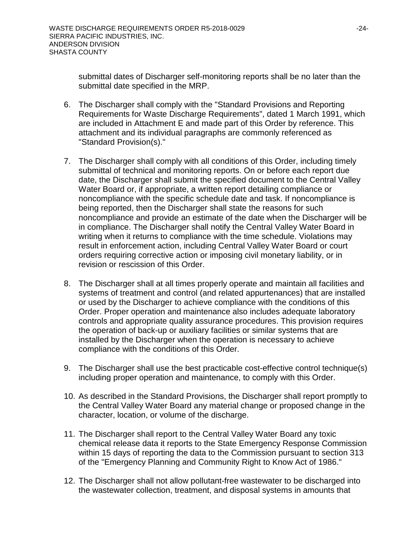submittal dates of Discharger self-monitoring reports shall be no later than the submittal date specified in the MRP.

- 6. The Discharger shall comply with the "Standard Provisions and Reporting Requirements for Waste Discharge Requirements", dated 1 March 1991, which are included in Attachment E and made part of this Order by reference. This attachment and its individual paragraphs are commonly referenced as "Standard Provision(s)."
- 7. The Discharger shall comply with all conditions of this Order, including timely submittal of technical and monitoring reports. On or before each report due date, the Discharger shall submit the specified document to the Central Valley Water Board or, if appropriate, a written report detailing compliance or noncompliance with the specific schedule date and task. If noncompliance is being reported, then the Discharger shall state the reasons for such noncompliance and provide an estimate of the date when the Discharger will be in compliance. The Discharger shall notify the Central Valley Water Board in writing when it returns to compliance with the time schedule. Violations may result in enforcement action, including Central Valley Water Board or court orders requiring corrective action or imposing civil monetary liability, or in revision or rescission of this Order.
- 8. The Discharger shall at all times properly operate and maintain all facilities and systems of treatment and control (and related appurtenances) that are installed or used by the Discharger to achieve compliance with the conditions of this Order. Proper operation and maintenance also includes adequate laboratory controls and appropriate quality assurance procedures. This provision requires the operation of back-up or auxiliary facilities or similar systems that are installed by the Discharger when the operation is necessary to achieve compliance with the conditions of this Order.
- 9. The Discharger shall use the best practicable cost-effective control technique(s) including proper operation and maintenance, to comply with this Order.
- 10. As described in the Standard Provisions, the Discharger shall report promptly to the Central Valley Water Board any material change or proposed change in the character, location, or volume of the discharge.
- 11. The Discharger shall report to the Central Valley Water Board any toxic chemical release data it reports to the State Emergency Response Commission within 15 days of reporting the data to the Commission pursuant to section 313 of the "Emergency Planning and Community Right to Know Act of 1986."
- 12. The Discharger shall not allow pollutant-free wastewater to be discharged into the wastewater collection, treatment, and disposal systems in amounts that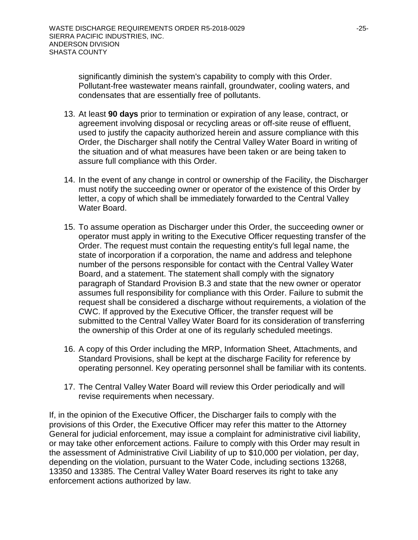significantly diminish the system's capability to comply with this Order. Pollutant-free wastewater means rainfall, groundwater, cooling waters, and condensates that are essentially free of pollutants.

- 13. At least **90 days** prior to termination or expiration of any lease, contract, or agreement involving disposal or recycling areas or off-site reuse of effluent, used to justify the capacity authorized herein and assure compliance with this Order, the Discharger shall notify the Central Valley Water Board in writing of the situation and of what measures have been taken or are being taken to assure full compliance with this Order.
- 14. In the event of any change in control or ownership of the Facility, the Discharger must notify the succeeding owner or operator of the existence of this Order by letter, a copy of which shall be immediately forwarded to the Central Valley Water Board.
- 15. To assume operation as Discharger under this Order, the succeeding owner or operator must apply in writing to the Executive Officer requesting transfer of the Order. The request must contain the requesting entity's full legal name, the state of incorporation if a corporation, the name and address and telephone number of the persons responsible for contact with the Central Valley Water Board, and a statement. The statement shall comply with the signatory paragraph of Standard Provision B.3 and state that the new owner or operator assumes full responsibility for compliance with this Order. Failure to submit the request shall be considered a discharge without requirements, a violation of the CWC. If approved by the Executive Officer, the transfer request will be submitted to the Central Valley Water Board for its consideration of transferring the ownership of this Order at one of its regularly scheduled meetings.
- 16. A copy of this Order including the MRP, Information Sheet, Attachments, and Standard Provisions, shall be kept at the discharge Facility for reference by operating personnel. Key operating personnel shall be familiar with its contents.
- 17. The Central Valley Water Board will review this Order periodically and will revise requirements when necessary.

If, in the opinion of the Executive Officer, the Discharger fails to comply with the provisions of this Order, the Executive Officer may refer this matter to the Attorney General for judicial enforcement, may issue a complaint for administrative civil liability, or may take other enforcement actions. Failure to comply with this Order may result in the assessment of Administrative Civil Liability of up to \$10,000 per violation, per day, depending on the violation, pursuant to the Water Code, including sections 13268, 13350 and 13385. The Central Valley Water Board reserves its right to take any enforcement actions authorized by law.